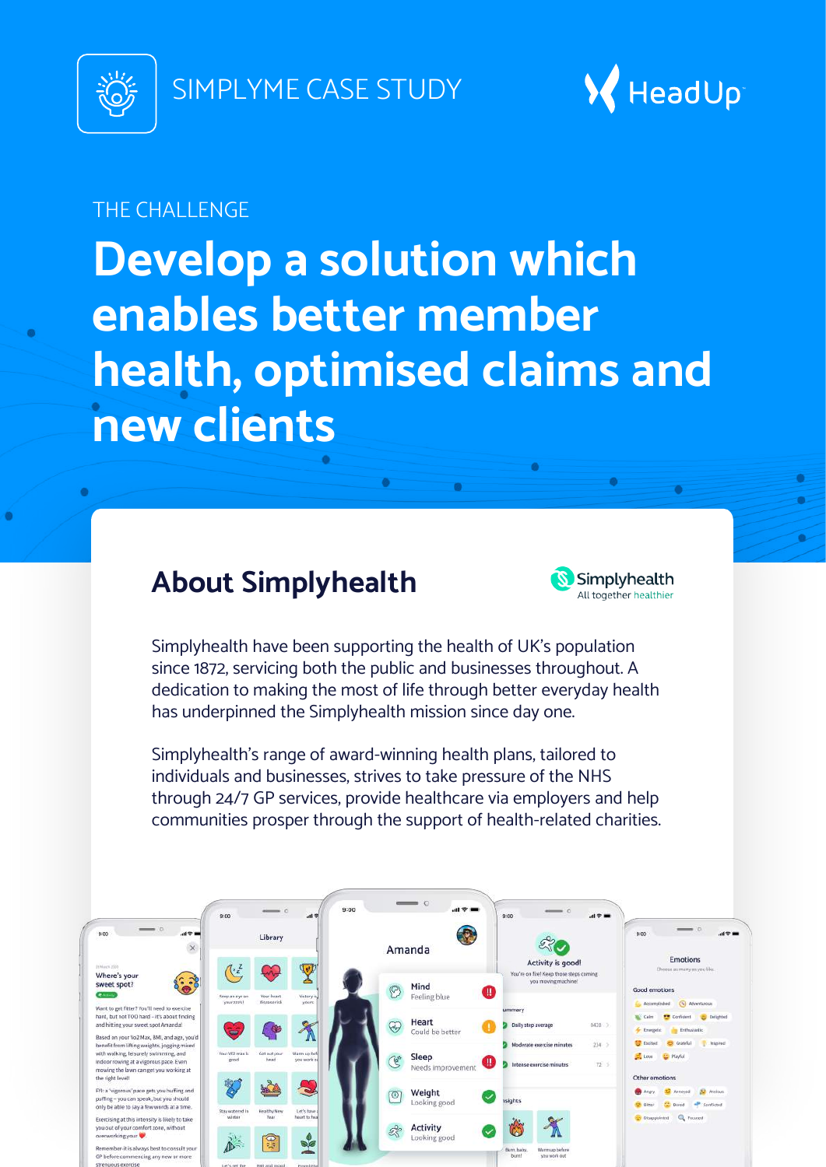

SIMPLYME CASE STUDY



### THE CHALLENGE

**Develop a solution which enables better member health, optimised claims and new clients**

## **About Simplyhealth**



Simplyhealth have been supporting the health of UK's population since 1872, servicing both the public and businesses throughout. A dedication to making the most of life through better everyday health has underpinned the Simplyhealth mission since day one.

Simplyhealth's range of award-winning health plans, tailored to individuals and businesses, strives to take pressure of the NHS through 24/7 GP services, provide healthcare via employers and help communities prosper through the support of health-related charities.

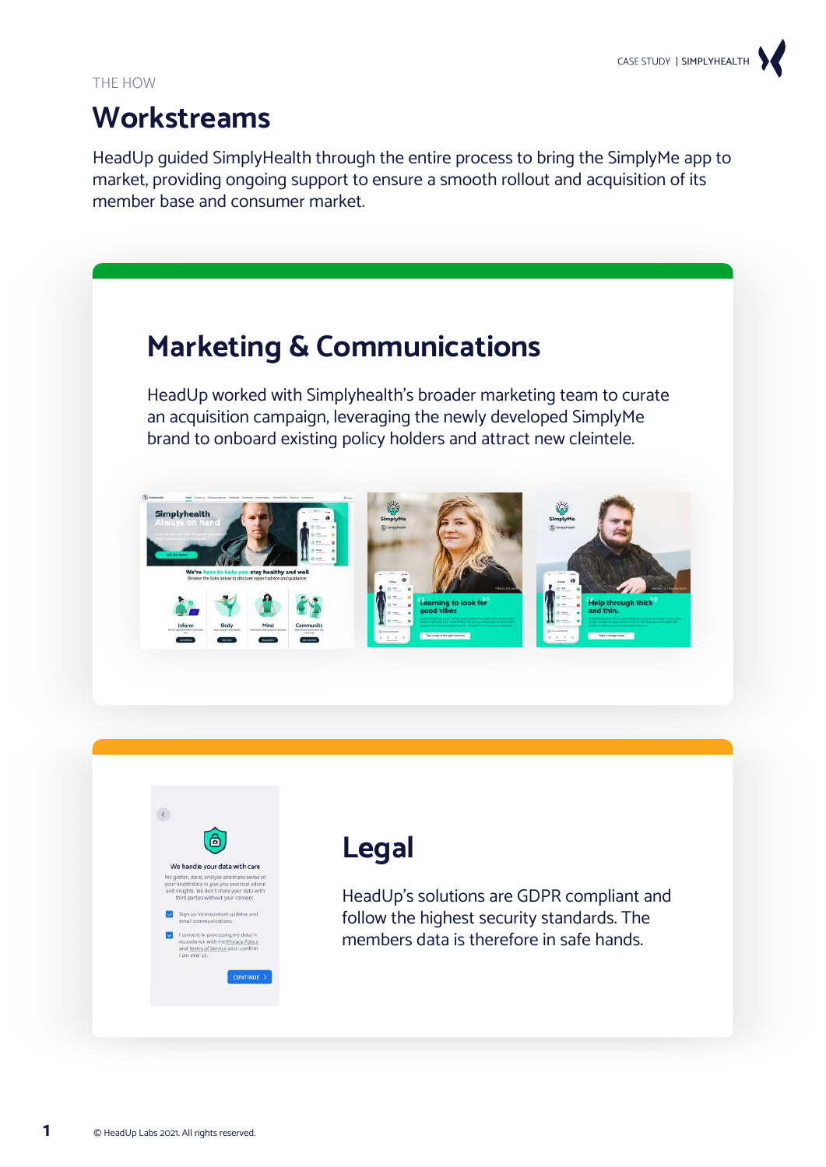## **Workstreams**

HeadUp guided SimplyHealth through the entire process to bring the SimplyMe app to market, providing ongoing support to ensure a smooth rollout and acquisition of its member base and consumer market.





# **Legal**

HeadUp's solutions are GDPR compliant and follow the highest security standards. The members data is therefore in safe hands.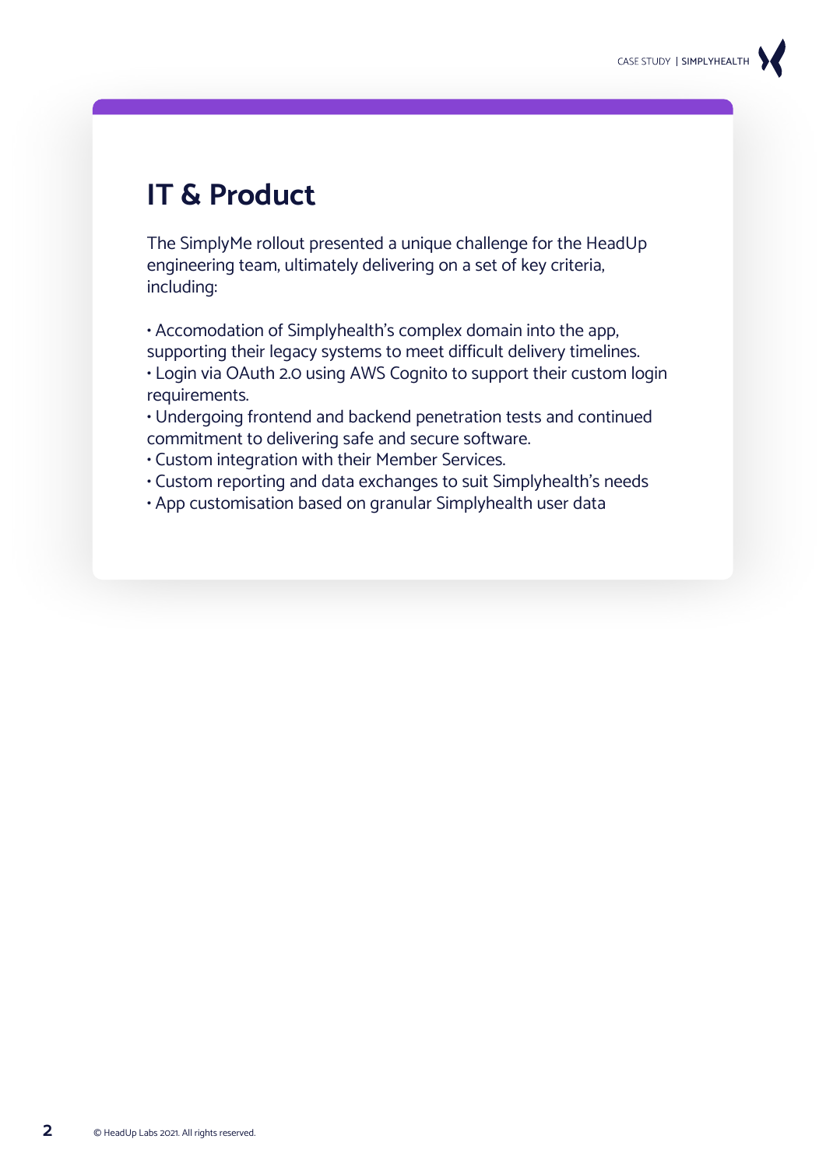## **IT & Product**

The SimplyMe rollout presented a unique challenge for the HeadUp engineering team, ultimately delivering on a set of key criteria, including:

• Accomodation of Simplyhealth's complex domain into the app, supporting their legacy systems to meet difficult delivery timelines.

• Login via OAuth 2.0 using AWS Cognito to support their custom login requirements.

• Undergoing frontend and backend penetration tests and continued commitment to delivering safe and secure software.

- Custom integration with their Member Services.
- Custom reporting and data exchanges to suit Simplyhealth's needs
- App customisation based on granular Simplyhealth user data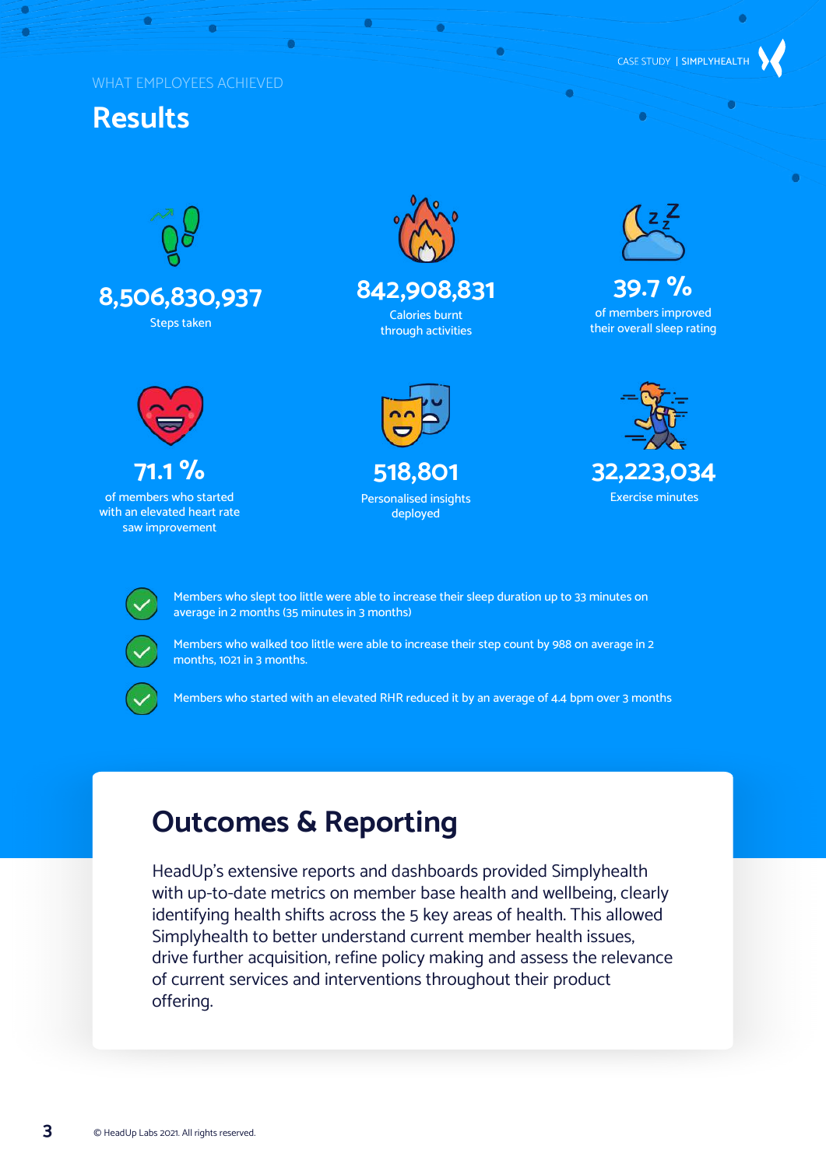#### WHAT EMPLOYEES ACHIEVED

### **Results**

 $\overline{\bullet}$ 







of members who started with an elevated heart rate saw improvement



ä

### **842,908,831**

Calories burnt through activities



CASE STUDY | SIMPLYHEALTH

**39.7 %** of members improved their overall sleep rating



**518,801** Personalised insights deployed





Members who slept too little were able to increase their sleep duration up to 33 minutes on average in 2 months (35 minutes in 3 months)



Members who walked too little were able to increase their step count by 988 on average in 2 months, 1021 in 3 months.



Members who started with an elevated RHR reduced it by an average of 4.4 bpm over 3 months

## **Outcomes & Reporting**

HeadUp's extensive reports and dashboards provided Simplyhealth with up-to-date metrics on member base health and wellbeing, clearly identifying health shifts across the 5 key areas of health. This allowed Simplyhealth to better understand current member health issues, drive further acquisition, refine policy making and assess the relevance of current services and interventions throughout their product offering.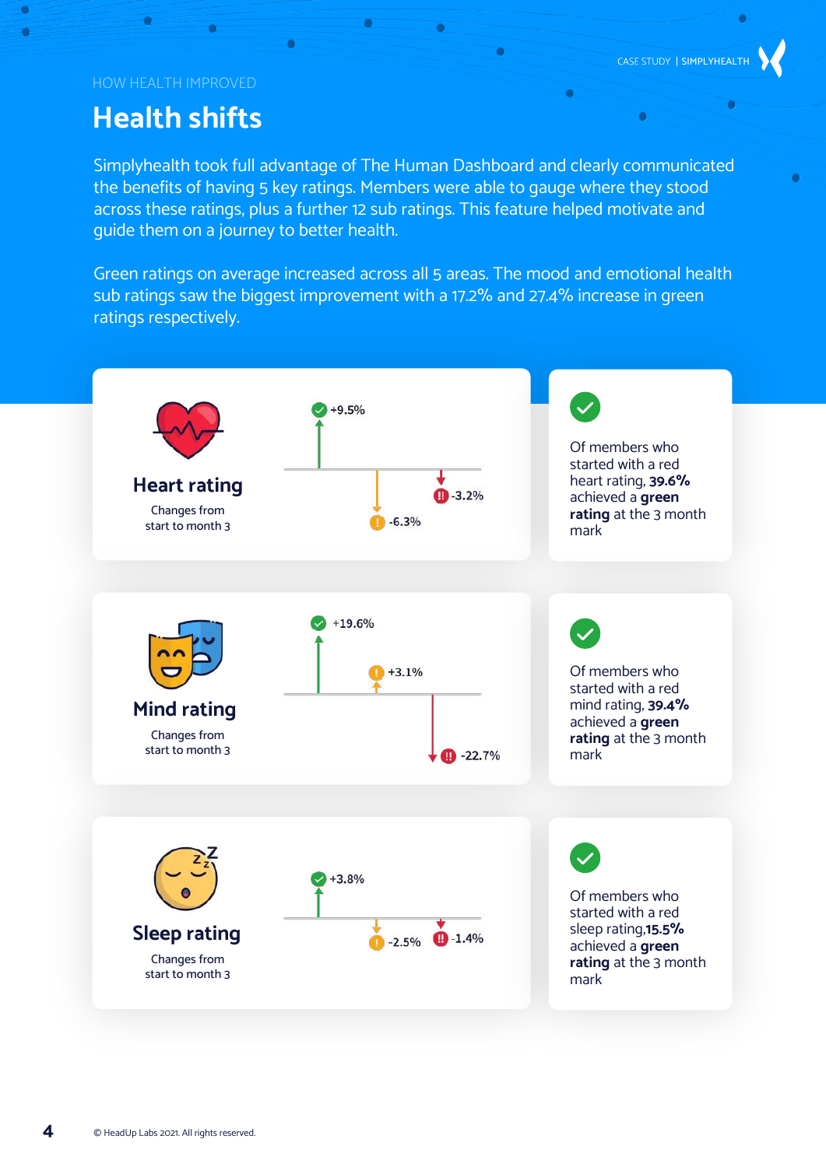ó

#### HOW HEALTH IMPROVED

 $\overline{\bullet}$ 

 $\bullet$ 

### **Health shifts**

Simplyhealth took full advantage of The Human Dashboard and clearly communicated the benefits of having 5 key ratings. Members were able to gauge where they stood across these ratings, plus a further 12 sub ratings. This feature helped motivate and guide them on a journey to better health.

 $\bullet$ 

 $\bullet$ 

Green ratings on average increased across all 5 areas. The mood and emotional health sub ratings saw the biggest improvement with a 17.2% and 27.4% increase in green ratings respectively.

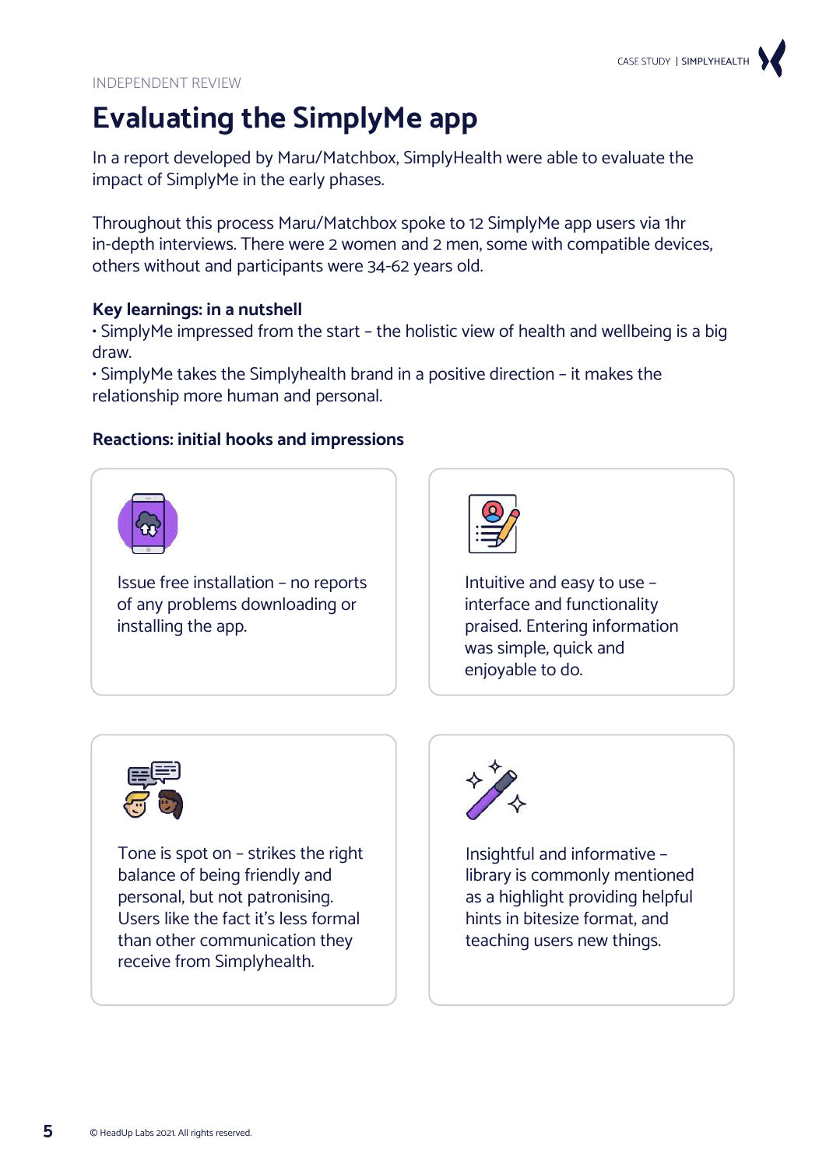

INDEPENDENT REVIEW

## **Evaluating the SimplyMe app**

In a report developed by Maru/Matchbox, SimplyHealth were able to evaluate the impact of SimplyMe in the early phases.

Throughout this process Maru/Matchbox spoke to 12 SimplyMe app users via 1hr in-depth interviews. There were 2 women and 2 men, some with compatible devices, others without and participants were 34-62 years old.

#### **Key learnings: in a nutshell**

• SimplyMe impressed from the start – the holistic view of health and wellbeing is a big draw.

• SimplyMe takes the Simplyhealth brand in a positive direction – it makes the relationship more human and personal.

#### **Reactions: initial hooks and impressions**



Issue free installation – no reports of any problems downloading or installing the app.



Intuitive and easy to use – interface and functionality praised. Entering information was simple, quick and enjoyable to do.



Tone is spot on – strikes the right balance of being friendly and personal, but not patronising. Users like the fact it's less formal than other communication they receive from Simplyhealth.



Insightful and informative – library is commonly mentioned as a highlight providing helpful hints in bitesize format, and teaching users new things.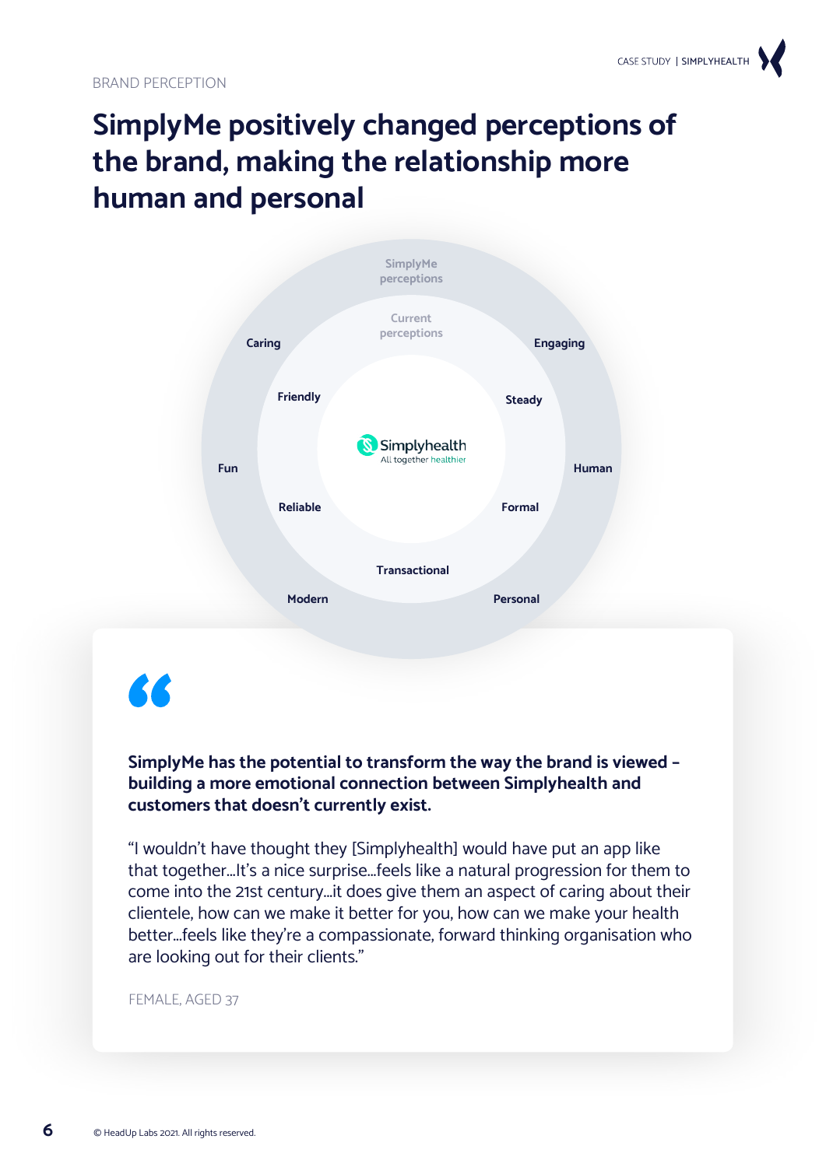# **SimplyMe positively changed perceptions of the brand, making the relationship more human and personal**



# 66

### **SimplyMe has the potential to transform the way the brand is viewed – building a more emotional connection between Simplyhealth and customers that doesn't currently exist.**

"I wouldn't have thought they [Simplyhealth] would have put an app like that together...It's a nice surprise...feels like a natural progression for them to come into the 21st century...it does give them an aspect of caring about their clientele, how can we make it better for you, how can we make your health better...feels like they're a compassionate, forward thinking organisation who are looking out for their clients."

#### FEMALE, AGED 37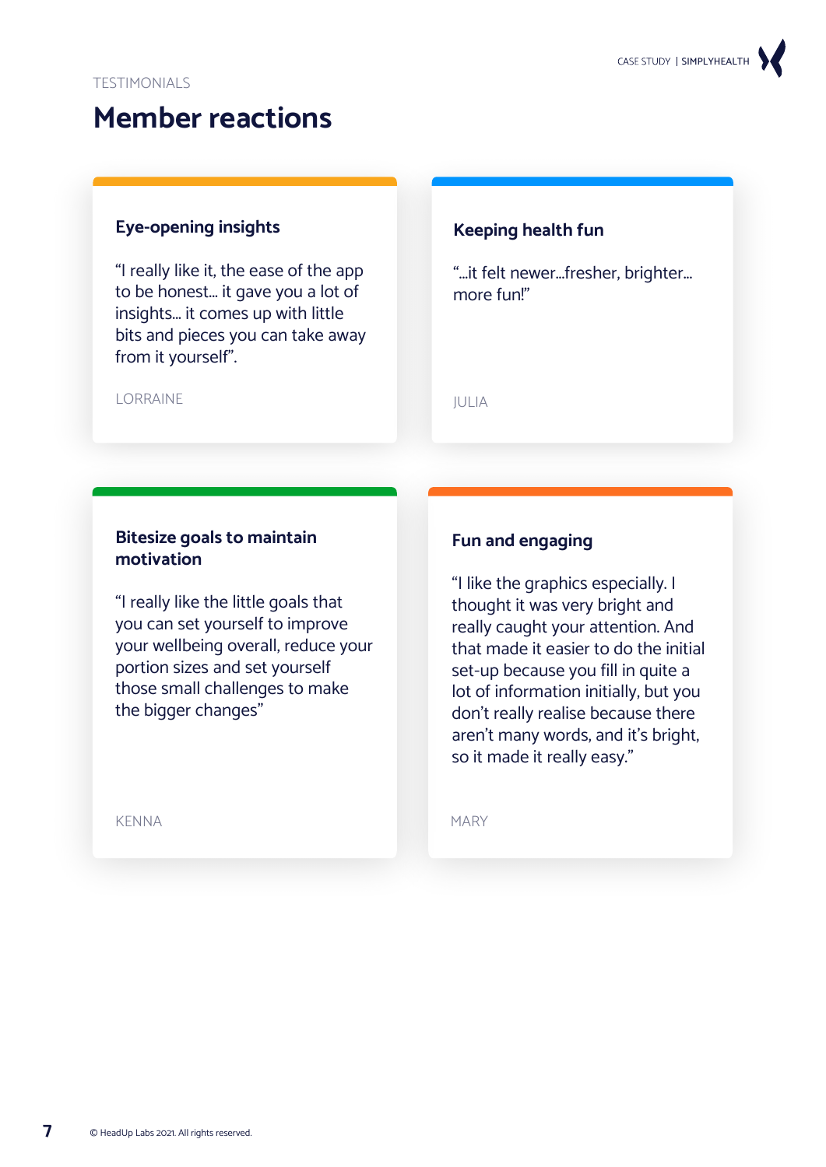## **Member reactions**

### **Eye-opening insights**

"I really like it, the ease of the app to be honest... it gave you a lot of insights... it comes up with little bits and pieces you can take away from it yourself".

### **Keeping health fun**

"...it felt newer...fresher, brighter... more fun!"

JULIA

#### **LORRAINE**

### **Bitesize goals to maintain motivation**

"I really like the little goals that you can set yourself to improve your wellbeing overall, reduce your portion sizes and set yourself those small challenges to make the bigger changes"

KENNA

### **Fun and engaging**

"I like the graphics especially. I thought it was very bright and really caught your attention. And that made it easier to do the initial set-up because you fill in quite a lot of information initially, but you don't really realise because there aren't many words, and it's bright, so it made it really easy."

MARY